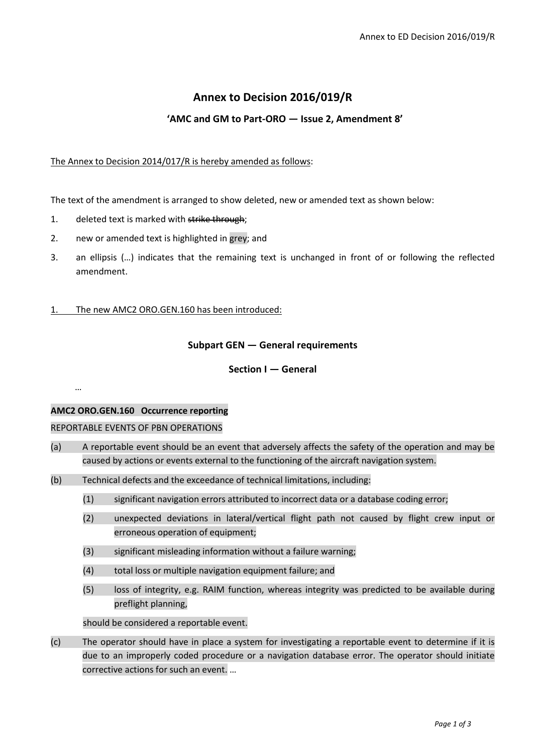# **Annex to Decision 2016/019/R**

# **'AMC and GM to Part-ORO — Issue 2, Amendment 8'**

#### The Annex to Decision 2014/017/R is hereby amended as follows:

The text of the amendment is arranged to show deleted, new or amended text as shown below:

- 1. deleted text is marked with strike through;
- 2. new or amended text is highlighted in grey; and
- 3. an ellipsis (…) indicates that the remaining text is unchanged in front of or following the reflected amendment.
- 1. The new AMC2 ORO.GEN.160 has been introduced:

## **Subpart GEN — General requirements**

## **Section I — General**

#### **AMC2 ORO.GEN.160 Occurrence reporting**

…

#### REPORTABLE EVENTS OF PBN OPERATIONS

- (a) A reportable event should be an event that adversely affects the safety of the operation and may be caused by actions or events external to the functioning of the aircraft navigation system.
- (b) Technical defects and the exceedance of technical limitations, including:
	- (1) significant navigation errors attributed to incorrect data or a database coding error;
	- (2) unexpected deviations in lateral/vertical flight path not caused by flight crew input or erroneous operation of equipment;
	- (3) significant misleading information without a failure warning;
	- (4) total loss or multiple navigation equipment failure; and
	- (5) loss of integrity, e.g. RAIM function, whereas integrity was predicted to be available during preflight planning,

should be considered a reportable event.

(c) The operator should have in place a system for investigating a reportable event to determine if it is due to an improperly coded procedure or a navigation database error. The operator should initiate corrective actions for such an event. …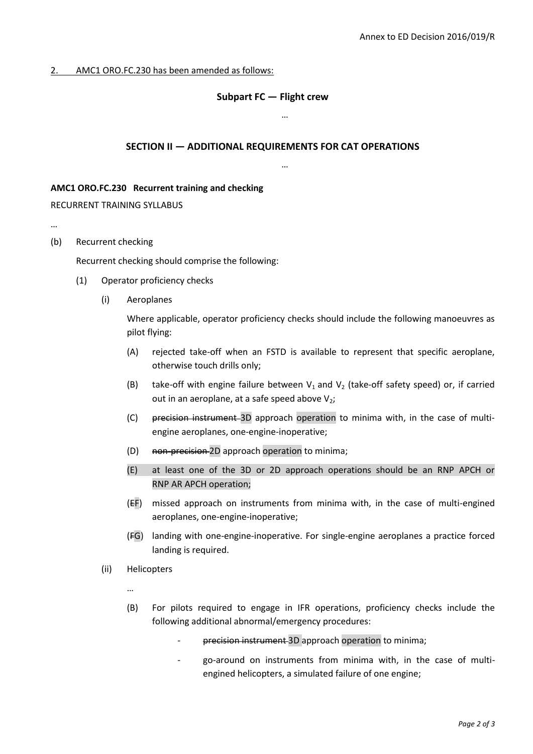#### 2. AMC1 ORO.FC.230 has been amended as follows:

#### **Subpart FC — Flight crew**

…

…

#### **SECTION II — ADDITIONAL REQUIREMENTS FOR CAT OPERATIONS**

**AMC1 ORO.FC.230 Recurrent training and checking**

RECURRENT TRAINING SYLLABUS

- …
- (b) Recurrent checking

Recurrent checking should comprise the following:

- (1) Operator proficiency checks
	- (i) Aeroplanes

Where applicable, operator proficiency checks should include the following manoeuvres as pilot flying:

- (A) rejected take-off when an FSTD is available to represent that specific aeroplane, otherwise touch drills only;
- (B) take-off with engine failure between  $V_1$  and  $V_2$  (take-off safety speed) or, if carried out in an aeroplane, at a safe speed above  $V_2$ ;
- (C) precision instrument 3D approach operation to minima with, in the case of multiengine aeroplanes, one-engine-inoperative;
- (D) non-precision 2D approach operation to minima;
- (E) at least one of the 3D or 2D approach operations should be an RNP APCH or RNP AR APCH operation;
- (EF) missed approach on instruments from minima with, in the case of multi-engined aeroplanes, one-engine-inoperative;
- (FG) landing with one-engine-inoperative. For single-engine aeroplanes a practice forced landing is required.
- (ii) Helicopters

…

- (B) For pilots required to engage in IFR operations, proficiency checks include the following additional abnormal/emergency procedures:
	- precision instrument 3D approach operation to minima;
	- go-around on instruments from minima with, in the case of multiengined helicopters, a simulated failure of one engine;